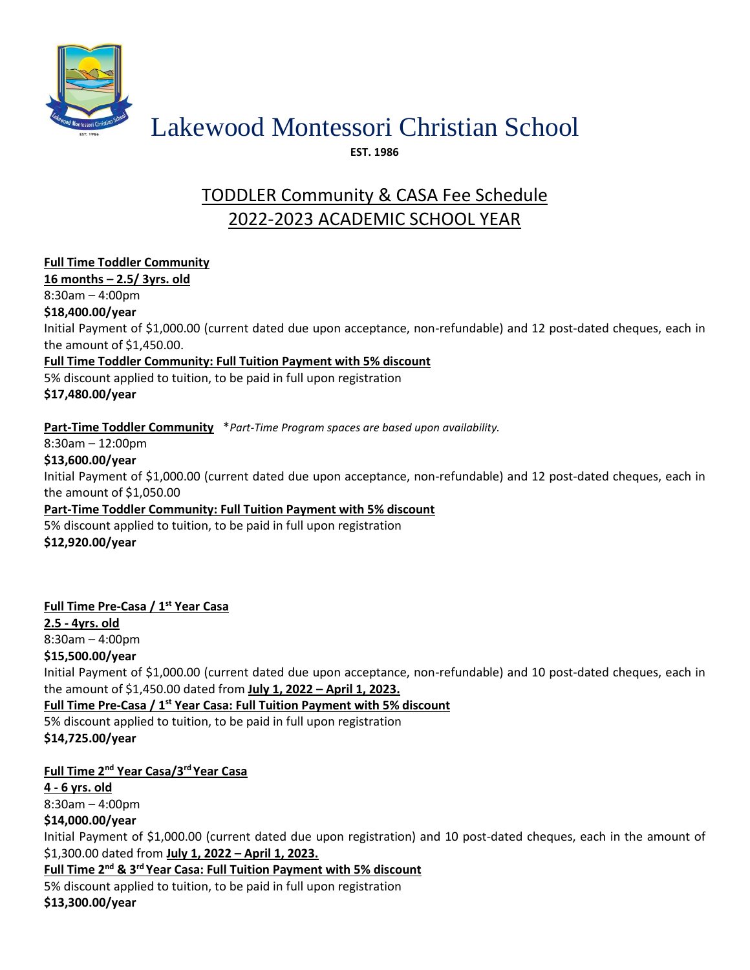

# Lakewood Montessori Christian School

**EST. 1986**

## TODDLER Community & CASA Fee Schedule 2022-2023 ACADEMIC SCHOOL YEAR

**Full Time Toddler Community 16 months – 2.5/ 3yrs. old** 8:30am – 4:00pm **\$18,400.00/year** Initial Payment of \$1,000.00 (current dated due upon acceptance, non-refundable) and 12 post-dated cheques, each in the amount of \$1,450.00. **Full Time Toddler Community: Full Tuition Payment with 5% discount**  5% discount applied to tuition, to be paid in full upon registration **\$17,480.00/year Part-Time Toddler Community** \**Part-Time Program spaces are based upon availability.* 8:30am – 12:00pm **\$13,600.00/year** Initial Payment of \$1,000.00 (current dated due upon acceptance, non-refundable) and 12 post-dated cheques, each in the amount of \$1,050.00 **Part-Time Toddler Community: Full Tuition Payment with 5% discount**  5% discount applied to tuition, to be paid in full upon registration **\$12,920.00/year**

## **Full Time Pre-Casa / 1st Year Casa**

**2.5 - 4yrs. old** 8:30am – 4:00pm **\$15,500.00/year**

Initial Payment of \$1,000.00 (current dated due upon acceptance, non-refundable) and 10 post-dated cheques, each in the amount of \$1,450.00 dated from **July 1, 2022 – April 1, 2023.**

**Full Time Pre-Casa / 1st Year Casa: Full Tuition Payment with 5% discount** 5% discount applied to tuition, to be paid in full upon registration

### **\$14,725.00/year**

## **Full Time 2nd Year Casa/3 rd Year Casa**

**4 - 6 yrs. old**  8:30am – 4:00pm **\$14,000.00/year**

Initial Payment of \$1,000.00 (current dated due upon registration) and 10 post-dated cheques, each in the amount of \$1,300.00 dated from **July 1, 2022 – April 1, 2023.**

**Full Time 2<sup>nd</sup> & 3<sup>rd</sup> Year Casa: Full Tuition Payment with 5% discount** 

5% discount applied to tuition, to be paid in full upon registration **\$13,300.00/year**